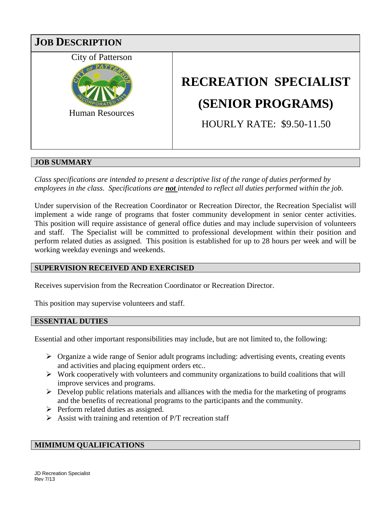

## **JOB SUMMARY**

*Class specifications are intended to present a descriptive list of the range of duties performed by employees in the class. Specifications are not intended to reflect all duties performed within the job.*

Under supervision of the Recreation Coordinator or Recreation Director, the Recreation Specialist will implement a wide range of programs that foster community development in senior center activities. This position will require assistance of general office duties and may include supervision of volunteers and staff. The Specialist will be committed to professional development within their position and perform related duties as assigned. This position is established for up to 28 hours per week and will be working weekday evenings and weekends.

## **SUPERVISION RECEIVED AND EXERCISED**

Receives supervision from the Recreation Coordinator or Recreation Director.

This position may supervise volunteers and staff.

## **ESSENTIAL DUTIES**

Essential and other important responsibilities may include, but are not limited to, the following:

- $\triangleright$  Organize a wide range of Senior adult programs including: advertising events, creating events and activities and placing equipment orders etc..
- $\triangleright$  Work cooperatively with volunteers and community organizations to build coalitions that will improve services and programs.
- $\triangleright$  Develop public relations materials and alliances with the media for the marketing of programs and the benefits of recreational programs to the participants and the community.
- $\triangleright$  Perform related duties as assigned.
- $\triangleright$  Assist with training and retention of P/T recreation staff

## **MIMIMUM QUALIFICATIONS**